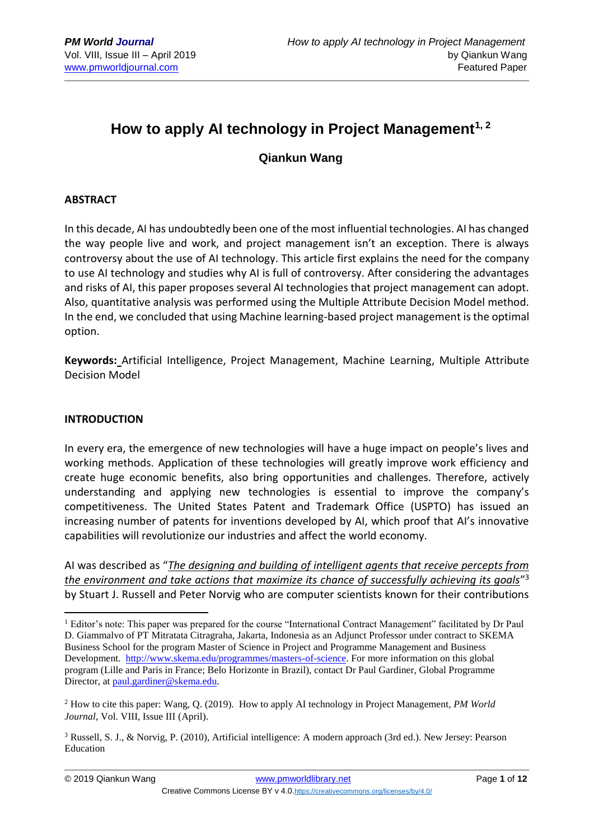# **How to apply AI technology in Project Management1, 2**

### **Qiankun Wang**

#### **ABSTRACT**

In this decade, AI has undoubtedly been one of the most influential technologies. AI has changed the way people live and work, and project management isn't an exception. There is always controversy about the use of AI technology. This article first explains the need for the company to use AI technology and studies why AI is full of controversy. After considering the advantages and risks of AI, this paper proposes several AI technologies that project management can adopt. Also, quantitative analysis was performed using the Multiple Attribute Decision Model method. In the end, we concluded that using Machine learning-based project management is the optimal option.

**Keywords:** Artificial Intelligence, Project Management, Machine Learning, Multiple Attribute Decision Model

#### **INTRODUCTION**

1

In every era, the emergence of new technologies will have a huge impact on people's lives and working methods. Application of these technologies will greatly improve work efficiency and create huge economic benefits, also bring opportunities and challenges. Therefore, actively understanding and applying new technologies is essential to improve the company's competitiveness. The United States Patent and Trademark Office (USPTO) has issued an increasing number of patents for inventions developed by AI, which proof that AI's innovative capabilities will revolutionize our industries and affect the world economy.

AI was described as "*The designing and building of intelligent agents that receive percepts from the environment and take actions that maximize its chance of successfully achieving its goals*" 3 by Stuart J. Russell and Peter Norvig who are computer scientists known for their contributions

<sup>&</sup>lt;sup>1</sup> Editor's note: This paper was prepared for the course "International Contract Management" facilitated by Dr Paul D. Giammalvo of PT Mitratata Citragraha, Jakarta, Indonesia as an Adjunct Professor under contract to SKEMA Business School for the program Master of Science in Project and Programme Management and Business Development. [http://www.skema.edu/programmes/masters-of-science.](http://www.skema.edu/programmes/masters-of-science) For more information on this global program (Lille and Paris in France; Belo Horizonte in Brazil), contact Dr Paul Gardiner, Global Programme Director, at [paul.gardiner@skema.edu.](mailto:paul.gardiner@skema.edu)

<sup>2</sup> How to cite this paper: Wang, Q. (2019). How to apply AI technology in Project Management, *PM World Journal*, Vol. VIII, Issue III (April).

<sup>3</sup> Russell, S. J., & Norvig, P. (2010), Artificial intelligence: A modern approach (3rd ed.). New Jersey: Pearson Education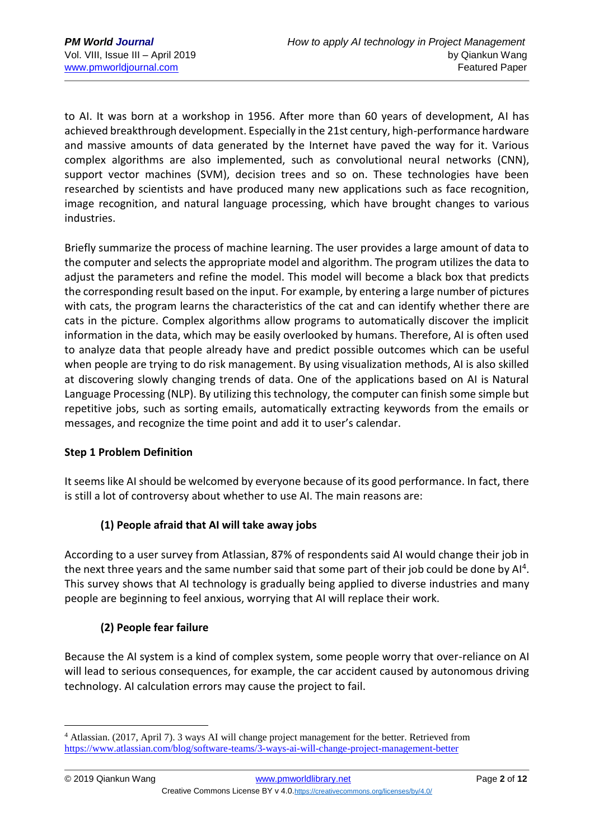to AI. It was born at a workshop in 1956. After more than 60 years of development, AI has achieved breakthrough development. Especially in the 21st century, high-performance hardware and massive amounts of data generated by the Internet have paved the way for it. Various complex algorithms are also implemented, such as convolutional neural networks (CNN), support vector machines (SVM), decision trees and so on. These technologies have been researched by scientists and have produced many new applications such as face recognition, image recognition, and natural language processing, which have brought changes to various industries.

Briefly summarize the process of machine learning. The user provides a large amount of data to the computer and selects the appropriate model and algorithm. The program utilizes the data to adjust the parameters and refine the model. This model will become a black box that predicts the corresponding result based on the input. For example, by entering a large number of pictures with cats, the program learns the characteristics of the cat and can identify whether there are cats in the picture. Complex algorithms allow programs to automatically discover the implicit information in the data, which may be easily overlooked by humans. Therefore, AI is often used to analyze data that people already have and predict possible outcomes which can be useful when people are trying to do risk management. By using visualization methods, AI is also skilled at discovering slowly changing trends of data. One of the applications based on AI is Natural Language Processing (NLP). By utilizing this technology, the computer can finish some simple but repetitive jobs, such as sorting emails, automatically extracting keywords from the emails or messages, and recognize the time point and add it to user's calendar.

### **Step 1 Problem Definition**

It seems like AI should be welcomed by everyone because of its good performance. In fact, there is still a lot of controversy about whether to use AI. The main reasons are:

### **(1) People afraid that AI will take away jobs**

According to a user survey from Atlassian, 87% of respondents said AI would change their job in the next three years and the same number said that some part of their job could be done by Al<sup>4</sup>. This survey shows that AI technology is gradually being applied to diverse industries and many people are beginning to feel anxious, worrying that AI will replace their work.

### **(2) People fear failure**

Because the AI system is a kind of complex system, some people worry that over-reliance on AI will lead to serious consequences, for example, the car accident caused by autonomous driving technology. AI calculation errors may cause the project to fail.

<u>.</u>

<sup>4</sup> Atlassian. (2017, April 7). 3 ways AI will change project management for the better. Retrieved from <https://www.atlassian.com/blog/software-teams/3-ways-ai-will-change-project-management-better>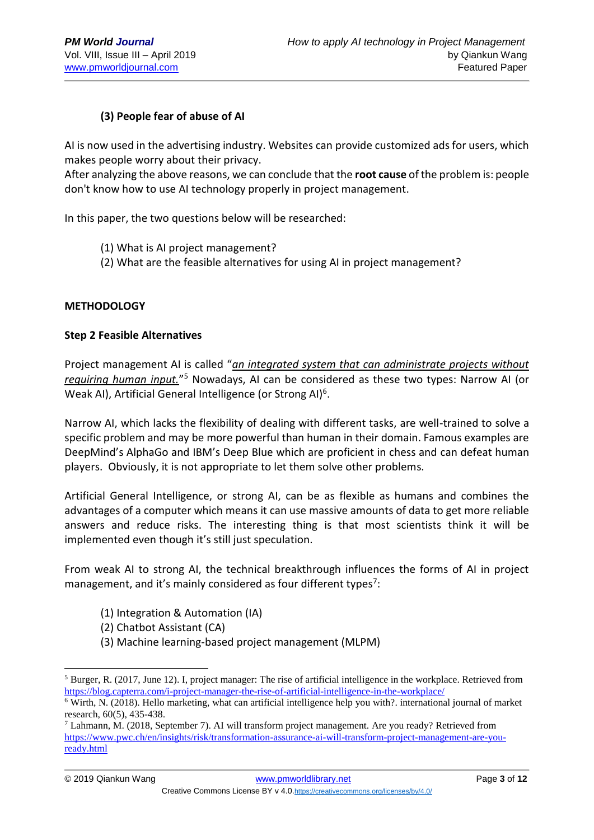### **(3) People fear of abuse of AI**

AI is now used in the advertising industry. Websites can provide customized ads for users, which makes people worry about their privacy.

After analyzing the above reasons, we can conclude that the **root cause** of the problem is: people don't know how to use AI technology properly in project management.

In this paper, the two questions below will be researched:

- (1) What is AI project management?
- (2) What are the feasible alternatives for using AI in project management?

#### **METHODOLOGY**

#### **Step 2 Feasible Alternatives**

Project management AI is called "*an integrated system that can administrate projects without requiring human input.*" <sup>5</sup> Nowadays, AI can be considered as these two types: Narrow AI (or Weak AI), Artificial General Intelligence (or Strong AI)<sup>6</sup>.

Narrow AI, which lacks the flexibility of dealing with different tasks, are well-trained to solve a specific problem and may be more powerful than human in their domain. Famous examples are DeepMind's AlphaGo and IBM's Deep Blue which are proficient in chess and can defeat human players. Obviously, it is not appropriate to let them solve other problems.

Artificial General Intelligence, or strong AI, can be as flexible as humans and combines the advantages of a computer which means it can use massive amounts of data to get more reliable answers and reduce risks. The interesting thing is that most scientists think it will be implemented even though it's still just speculation.

From weak AI to strong AI, the technical breakthrough influences the forms of AI in project management, and it's mainly considered as four different types<sup>7</sup>:

- (1) Integration & Automation (IA)
- (2) Chatbot Assistant (CA)
- (3) Machine learning-based project management (MLPM)

1

<sup>5</sup> Burger, R. (2017, June 12). I, project manager: The rise of artificial intelligence in the workplace. Retrieved from <https://blog.capterra.com/i-project-manager-the-rise-of-artificial-intelligence-in-the-workplace/>

<sup>6</sup> Wirth, N. (2018). Hello marketing, what can artificial intelligence help you with?. international journal of market research, 60(5), 435-438.

<sup>7</sup> Lahmann, M. (2018, September 7). AI will transform project management. Are you ready? Retrieved from [https://www.pwc.ch/en/insights/risk/transformation-assurance-ai-will-transform-project-management-are-you](https://www.pwc.ch/en/insights/risk/transformation-assurance-ai-will-transform-project-management-are-you-ready.html)[ready.html](https://www.pwc.ch/en/insights/risk/transformation-assurance-ai-will-transform-project-management-are-you-ready.html)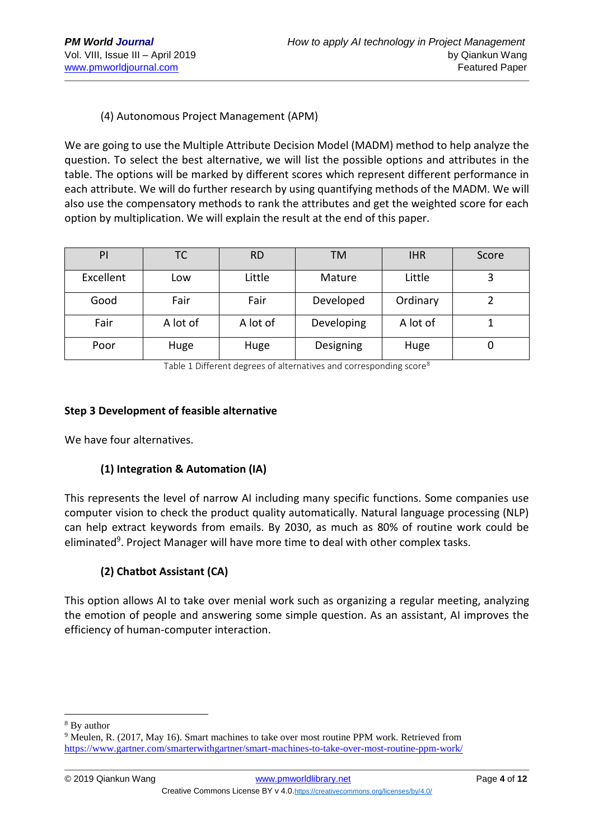### (4) Autonomous Project Management (APM)

We are going to use the Multiple Attribute Decision Model (MADM) method to help analyze the question. To select the best alternative, we will list the possible options and attributes in the table. The options will be marked by different scores which represent different performance in each attribute. We will do further research by using quantifying methods of the MADM. We will also use the compensatory methods to rank the attributes and get the weighted score for each option by multiplication. We will explain the result at the end of this paper.

| PI        | ТC       | <b>RD</b> | <b>TM</b>  | <b>IHR</b> | Score |
|-----------|----------|-----------|------------|------------|-------|
| Excellent | Low      | Little    | Mature     | Little     |       |
| Good      | Fair     | Fair      | Developed  | Ordinary   |       |
| Fair      | A lot of | A lot of  | Developing | A lot of   |       |
| Poor      | Huge     | Huge      | Designing  | Huge       |       |

Table 1 Different degrees of alternatives and corresponding score<sup>8</sup>

#### **Step 3 Development of feasible alternative**

We have four alternatives.

### **(1) Integration & Automation (IA)**

This represents the level of narrow AI including many specific functions. Some companies use computer vision to check the product quality automatically. Natural language processing (NLP) can help extract keywords from emails. By 2030, as much as 80% of routine work could be eliminated<sup>9</sup>. Project Manager will have more time to deal with other complex tasks.

### **(2) Chatbot Assistant (CA)**

This option allows AI to take over menial work such as organizing a regular meeting, analyzing the emotion of people and answering some simple question. As an assistant, AI improves the efficiency of human-computer interaction.

1

<sup>8</sup> By author

<sup>&</sup>lt;sup>9</sup> Meulen, R. (2017, May 16). Smart machines to take over most routine PPM work. Retrieved from <https://www.gartner.com/smarterwithgartner/smart-machines-to-take-over-most-routine-ppm-work/>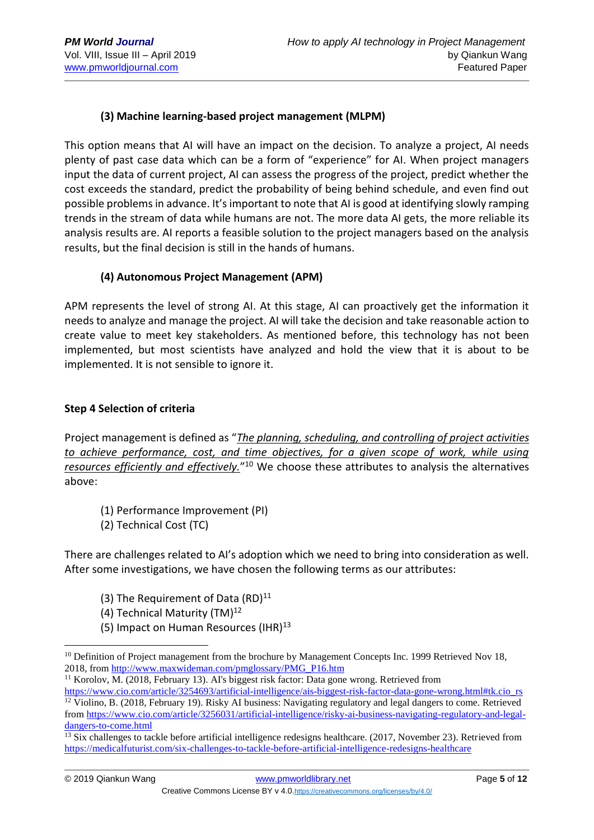### **(3) Machine learning-based project management (MLPM)**

This option means that AI will have an impact on the decision. To analyze a project, AI needs plenty of past case data which can be a form of "experience" for AI. When project managers input the data of current project, AI can assess the progress of the project, predict whether the cost exceeds the standard, predict the probability of being behind schedule, and even find out possible problems in advance. It's important to note that AI is good at identifying slowly ramping trends in the stream of data while humans are not. The more data AI gets, the more reliable its analysis results are. AI reports a feasible solution to the project managers based on the analysis results, but the final decision is still in the hands of humans.

### **(4) Autonomous Project Management (APM)**

APM represents the level of strong AI. At this stage, AI can proactively get the information it needs to analyze and manage the project. AI will take the decision and take reasonable action to create value to meet key stakeholders. As mentioned before, this technology has not been implemented, but most scientists have analyzed and hold the view that it is about to be implemented. It is not sensible to ignore it.

#### **Step 4 Selection of criteria**

Project management is defined as "*The planning, scheduling, and controlling of project activities to achieve performance, cost, and time objectives, for a given scope of work, while using resources efficiently and effectively.*" <sup>10</sup> We choose these attributes to analysis the alternatives above:

- (1) Performance Improvement (PI)
- (2) Technical Cost (TC)

There are challenges related to AI's adoption which we need to bring into consideration as well. After some investigations, we have chosen the following terms as our attributes:

- (3) The Requirement of Data  $(RD)^{11}$
- (4) Technical Maturity (TM)<sup>12</sup>

1

(5) Impact on Human Resources  $(HIR)^{13}$ 

<sup>11</sup> Korolov, M. (2018, February 13). AI's biggest risk factor: Data gone wrong. Retrieved from [https://www.cio.com/article/3254693/artificial-intelligence/ais-biggest-risk-factor-data-gone-wrong.html#tk.cio\\_rs](https://www.cio.com/article/3254693/artificial-intelligence/ais-biggest-risk-factor-data-gone-wrong.html#tk.cio_rs)

<sup>&</sup>lt;sup>10</sup> Definition of Project management from the brochure by Management Concepts Inc. 1999 Retrieved Nov 18, 2018, fro[m http://www.maxwideman.com/pmglossary/PMG\\_P16.htm](http://www.maxwideman.com/pmglossary/PMG_P16.htm)

<sup>&</sup>lt;sup>12</sup> Violino, B. (2018, February 19). Risky AI business: Navigating regulatory and legal dangers to come. Retrieved fro[m https://www.cio.com/article/3256031/artificial-intelligence/risky-ai-business-navigating-regulatory-and-legal](https://www.cio.com/article/3256031/artificial-intelligence/risky-ai-business-navigating-regulatory-and-legal-dangers-to-come.html)[dangers-to-come.html](https://www.cio.com/article/3256031/artificial-intelligence/risky-ai-business-navigating-regulatory-and-legal-dangers-to-come.html)

 $\frac{13}{13}$  Six challenges to tackle before artificial intelligence redesigns healthcare. (2017, November 23). Retrieved from <https://medicalfuturist.com/six-challenges-to-tackle-before-artificial-intelligence-redesigns-healthcare>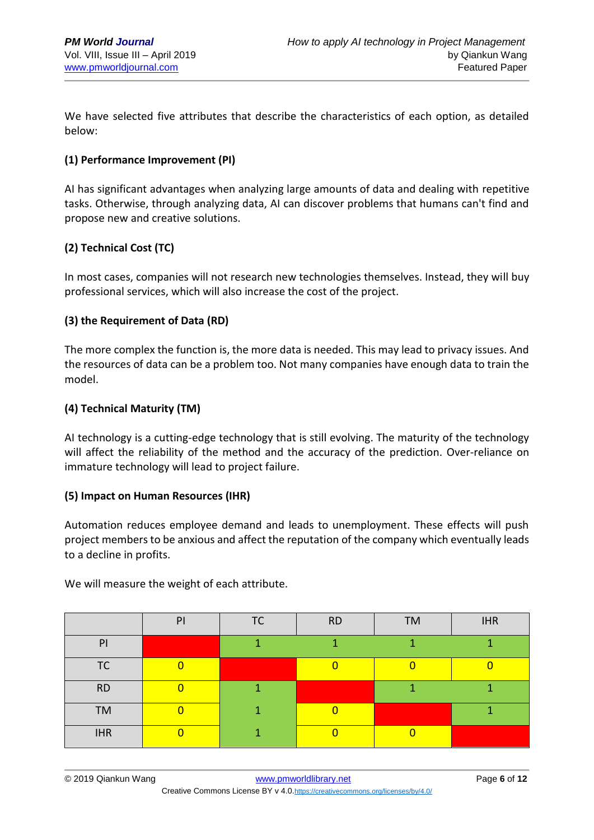We have selected five attributes that describe the characteristics of each option, as detailed below:

### **(1) Performance Improvement (PI)**

AI has significant advantages when analyzing large amounts of data and dealing with repetitive tasks. Otherwise, through analyzing data, AI can discover problems that humans can't find and propose new and creative solutions.

### **(2) Technical Cost (TC)**

In most cases, companies will not research new technologies themselves. Instead, they will buy professional services, which will also increase the cost of the project.

#### **(3) the Requirement of Data (RD)**

The more complex the function is, the more data is needed. This may lead to privacy issues. And the resources of data can be a problem too. Not many companies have enough data to train the model.

#### **(4) Technical Maturity (TM)**

AI technology is a cutting-edge technology that is still evolving. The maturity of the technology will affect the reliability of the method and the accuracy of the prediction. Over-reliance on immature technology will lead to project failure.

#### **(5) Impact on Human Resources (IHR)**

Automation reduces employee demand and leads to unemployment. These effects will push project members to be anxious and affect the reputation of the company which eventually leads to a decline in profits.

|                | PI | <b>TC</b> | <b>RD</b> | <b>TM</b> | <b>IHR</b> |
|----------------|----|-----------|-----------|-----------|------------|
| P <sub>1</sub> |    |           |           |           |            |
| <b>TC</b>      |    |           |           |           |            |
| <b>RD</b>      |    |           |           |           |            |
| <b>TM</b>      | ∩  | 4         |           |           |            |
| <b>IHR</b>     | ∩  |           |           |           |            |

We will measure the weight of each attribute.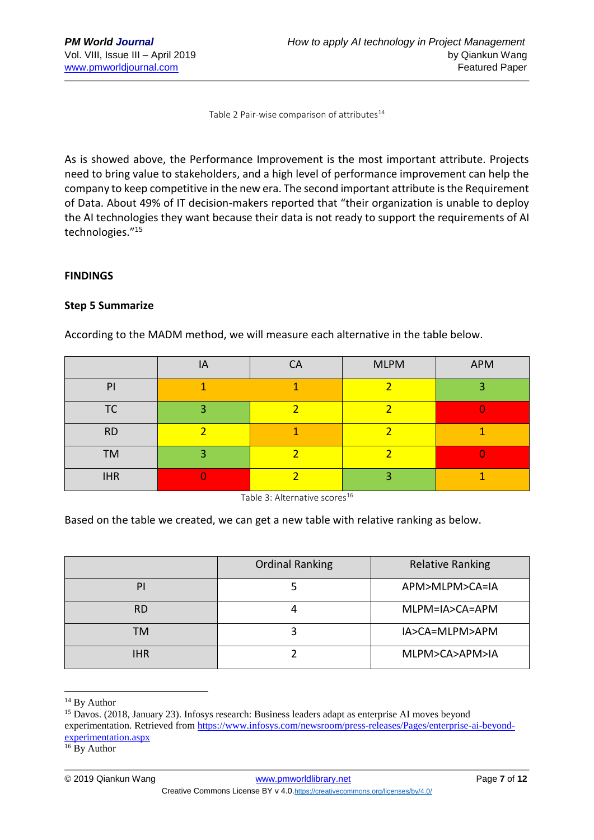Table 2 Pair-wise comparison of attributes<sup>14</sup>

As is showed above, the Performance Improvement is the most important attribute. Projects need to bring value to stakeholders, and a high level of performance improvement can help the company to keep competitive in the new era. The second important attribute is the Requirement of Data. About 49% of IT decision-makers reported that "their organization is unable to deploy the AI technologies they want because their data is not ready to support the requirements of AI technologies."<sup>15</sup>

#### **FINDINGS**

#### **Step 5 Summarize**

According to the MADM method, we will measure each alternative in the table below.

|            | IA | <b>CA</b> | <b>MLPM</b> | APM |
|------------|----|-----------|-------------|-----|
| PI         |    |           |             |     |
| ТC         | о  |           |             |     |
| <b>RD</b>  |    |           |             |     |
| <b>TM</b>  | о  |           |             |     |
| <b>IHR</b> |    |           |             |     |

Table 3: Alternative scores<sup>16</sup>

Based on the table we created, we can get a new table with relative ranking as below.

|            | <b>Ordinal Ranking</b> | <b>Relative Ranking</b> |  |
|------------|------------------------|-------------------------|--|
| PI         |                        | APM>MLPM>CA=IA          |  |
| <b>RD</b>  |                        | MLPM=IA>CA=APM          |  |
| <b>TM</b>  |                        | IA>CA=MLPM>APM          |  |
| <b>IHR</b> |                        | MLPM>CA>APM>IA          |  |

<sup>&</sup>lt;sup>14</sup> By Author

1

 $16$  By Author

<sup>15</sup> Davos. (2018, January 23). Infosys research: Business leaders adapt as enterprise AI moves beyond experimentation. Retrieved from [https://www.infosys.com/newsroom/press-releases/Pages/enterprise-ai-beyond](https://www.infosys.com/newsroom/press-releases/Pages/enterprise-ai-beyond-experimentation.aspx)[experimentation.aspx](https://www.infosys.com/newsroom/press-releases/Pages/enterprise-ai-beyond-experimentation.aspx)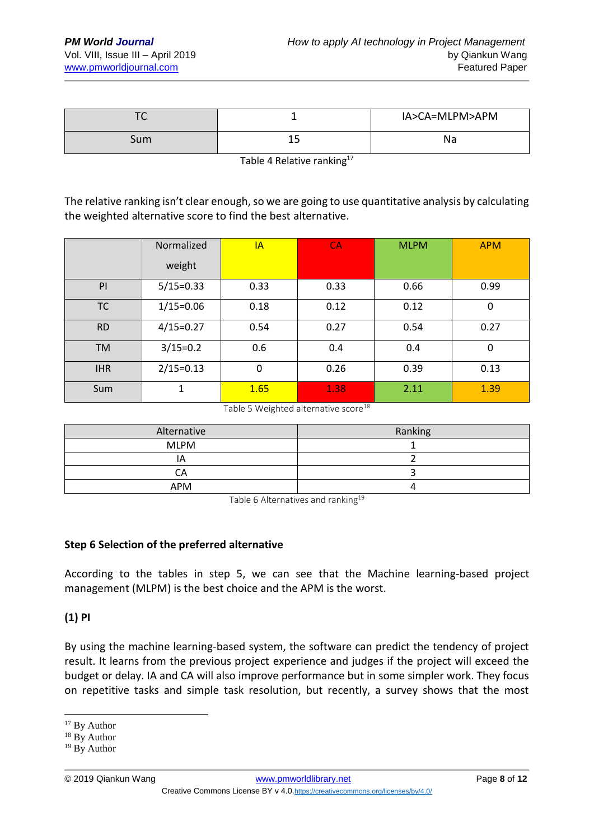| ◡   |    | IA>CA=MLPM>APM |
|-----|----|----------------|
| Sum | -- | Na             |

Table 4 Relative ranking<sup>17</sup>

The relative ranking isn't clear enough, so we are going to use quantitative analysis by calculating the weighted alternative score to find the best alternative.

|            | Normalized    | IA   | <b>CA</b> | <b>MLPM</b> | <b>APM</b> |
|------------|---------------|------|-----------|-------------|------------|
|            | weight        |      |           |             |            |
| PI         | $5/15=0.33$   | 0.33 | 0.33      | 0.66        | 0.99       |
| <b>TC</b>  | $1/15=0.06$   | 0.18 | 0.12      | 0.12        | 0          |
| <b>RD</b>  | $4/15 = 0.27$ | 0.54 | 0.27      | 0.54        | 0.27       |
| <b>TM</b>  | $3/15=0.2$    | 0.6  | 0.4       | 0.4         | 0          |
| <b>IHR</b> | $2/15=0.13$   | 0    | 0.26      | 0.39        | 0.13       |
| Sum        | 1             | 1.65 | 1.38      | 2.11        | 1.39       |

Table 5 Weighted alternative score<sup>18</sup>

| Alternative | Ranking |
|-------------|---------|
| <b>MLPM</b> |         |
| ΙA          |         |
| CА          |         |
| <b>APM</b>  |         |

Table 6 Alternatives and ranking<sup>19</sup>

### **Step 6 Selection of the preferred alternative**

According to the tables in step 5, we can see that the Machine learning-based project management (MLPM) is the best choice and the APM is the worst.

### **(1) PI**

By using the machine learning-based system, the software can predict the tendency of project result. It learns from the previous project experience and judges if the project will exceed the budget or delay. IA and CA will also improve performance but in some simpler work. They focus on repetitive tasks and simple task resolution, but recently, a survey shows that the most

1

<sup>&</sup>lt;sup>17</sup> By Author

<sup>18</sup> By Author

<sup>&</sup>lt;sup>19</sup> By Author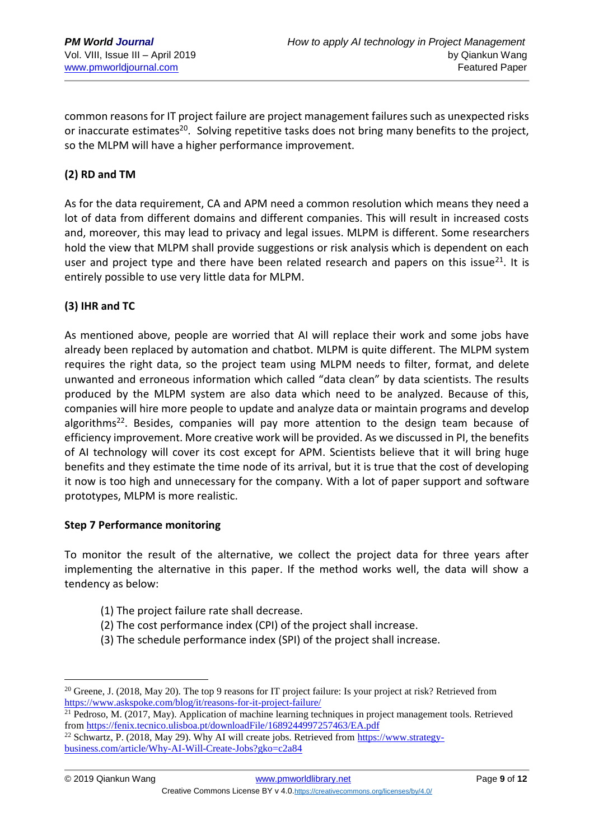common reasons for IT project failure are project management failures such as unexpected risks or inaccurate estimates<sup>20</sup>. Solving repetitive tasks does not bring many benefits to the project, so the MLPM will have a higher performance improvement.

### **(2) RD and TM**

As for the data requirement, CA and APM need a common resolution which means they need a lot of data from different domains and different companies. This will result in increased costs and, moreover, this may lead to privacy and legal issues. MLPM is different. Some researchers hold the view that MLPM shall provide suggestions or risk analysis which is dependent on each user and project type and there have been related research and papers on this issue $^{21}$ . It is entirely possible to use very little data for MLPM.

#### **(3) IHR and TC**

As mentioned above, people are worried that AI will replace their work and some jobs have already been replaced by automation and chatbot. MLPM is quite different. The MLPM system requires the right data, so the project team using MLPM needs to filter, format, and delete unwanted and erroneous information which called "data clean" by data scientists. The results produced by the MLPM system are also data which need to be analyzed. Because of this, companies will hire more people to update and analyze data or maintain programs and develop algorithms<sup>22</sup>. Besides, companies will pay more attention to the design team because of efficiency improvement. More creative work will be provided. As we discussed in PI, the benefits of AI technology will cover its cost except for APM. Scientists believe that it will bring huge benefits and they estimate the time node of its arrival, but it is true that the cost of developing it now is too high and unnecessary for the company. With a lot of paper support and software prototypes, MLPM is more realistic.

#### **Step 7 Performance monitoring**

To monitor the result of the alternative, we collect the project data for three years after implementing the alternative in this paper. If the method works well, the data will show a tendency as below:

- (1) The project failure rate shall decrease.
- (2) The cost performance index (CPI) of the project shall increase.
- (3) The schedule performance index (SPI) of the project shall increase.

<u>.</u>

<sup>&</sup>lt;sup>20</sup> Greene, J. (2018, May 20). The top 9 reasons for IT project failure: Is your project at risk? Retrieved from <https://www.askspoke.com/blog/it/reasons-for-it-project-failure/>

<sup>&</sup>lt;sup>21</sup> Pedroso, M. (2017, May). Application of machine learning techniques in project management tools. Retrieved fro[m https://fenix.tecnico.ulisboa.pt/downloadFile/1689244997257463/EA.pdf](https://fenix.tecnico.ulisboa.pt/downloadFile/1689244997257463/EA.pdf)

<sup>&</sup>lt;sup>22</sup> Schwartz, P. (2018, May 29). Why AI will create jobs. Retrieved from [https://www.strategy](https://www.strategy-business.com/article/Why-AI-Will-Create-Jobs?gko=c2a84)[business.com/article/Why-AI-Will-Create-Jobs?gko=c2a84](https://www.strategy-business.com/article/Why-AI-Will-Create-Jobs?gko=c2a84)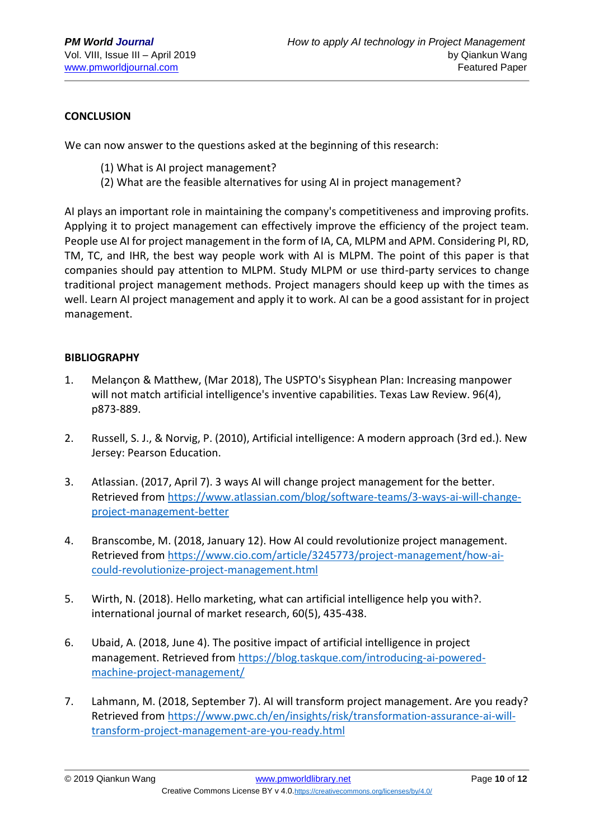#### **CONCLUSION**

We can now answer to the questions asked at the beginning of this research:

- (1) What is AI project management?
- (2) What are the feasible alternatives for using AI in project management?

AI plays an important role in maintaining the company's competitiveness and improving profits. Applying it to project management can effectively improve the efficiency of the project team. People use AI for project management in the form of IA, CA, MLPM and APM. Considering PI, RD, TM, TC, and IHR, the best way people work with AI is MLPM. The point of this paper is that companies should pay attention to MLPM. Study MLPM or use third-party services to change traditional project management methods. Project managers should keep up with the times as well. Learn AI project management and apply it to work. AI can be a good assistant for in project management.

#### **BIBLIOGRAPHY**

- 1. Melançon & Matthew, (Mar 2018), The USPTO's Sisyphean Plan: Increasing manpower will not match artificial intelligence's inventive capabilities. Texas Law Review. 96(4), p873-889.
- 2. Russell, S. J., & Norvig, P. (2010), Artificial intelligence: A modern approach (3rd ed.). New Jersey: Pearson Education.
- 3. Atlassian. (2017, April 7). 3 ways AI will change project management for the better. Retrieved from [https://www.atlassian.com/blog/software-teams/3-ways-ai-will-change](https://www.atlassian.com/blog/software-teams/3-ways-ai-will-change-project-management-better)[project-management-better](https://www.atlassian.com/blog/software-teams/3-ways-ai-will-change-project-management-better)
- 4. Branscombe, M. (2018, January 12). How AI could revolutionize project management. Retrieved from [https://www.cio.com/article/3245773/project-management/how-ai](https://www.cio.com/article/3245773/project-management/how-ai-could-revolutionize-project-management.html)[could-revolutionize-project-management.html](https://www.cio.com/article/3245773/project-management/how-ai-could-revolutionize-project-management.html)
- 5. Wirth, N. (2018). Hello marketing, what can artificial intelligence help you with?. international journal of market research, 60(5), 435-438.
- 6. Ubaid, A. (2018, June 4). The positive impact of artificial intelligence in project management. Retrieved fro[m https://blog.taskque.com/introducing-ai-powered](https://blog.taskque.com/introducing-ai-powered-machine-project-management/)[machine-project-management/](https://blog.taskque.com/introducing-ai-powered-machine-project-management/)
- 7. Lahmann, M. (2018, September 7). AI will transform project management. Are you ready? Retrieved from [https://www.pwc.ch/en/insights/risk/transformation-assurance-ai-will](https://www.pwc.ch/en/insights/risk/transformation-assurance-ai-will-transform-project-management-are-you-ready.html)[transform-project-management-are-you-ready.html](https://www.pwc.ch/en/insights/risk/transformation-assurance-ai-will-transform-project-management-are-you-ready.html)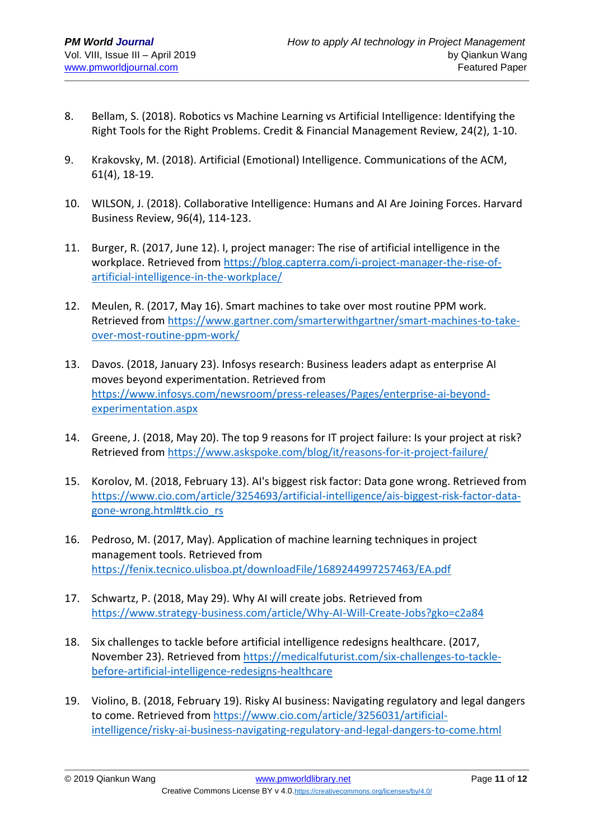- 8. Bellam, S. (2018). Robotics vs Machine Learning vs Artificial Intelligence: Identifying the Right Tools for the Right Problems. Credit & Financial Management Review, 24(2), 1-10.
- 9. Krakovsky, M. (2018). Artificial (Emotional) Intelligence. Communications of the ACM, 61(4), 18-19.
- 10. WILSON, J. (2018). Collaborative Intelligence: Humans and AI Are Joining Forces. Harvard Business Review, 96(4), 114-123.
- 11. Burger, R. (2017, June 12). I, project manager: The rise of artificial intelligence in the workplace. Retrieved from [https://blog.capterra.com/i-project-manager-the-rise-of](https://blog.capterra.com/i-project-manager-the-rise-of-artificial-intelligence-in-the-workplace/)[artificial-intelligence-in-the-workplace/](https://blog.capterra.com/i-project-manager-the-rise-of-artificial-intelligence-in-the-workplace/)
- 12. Meulen, R. (2017, May 16). Smart machines to take over most routine PPM work. Retrieved from [https://www.gartner.com/smarterwithgartner/smart-machines-to-take](https://www.gartner.com/smarterwithgartner/smart-machines-to-take-over-most-routine-ppm-work/)[over-most-routine-ppm-work/](https://www.gartner.com/smarterwithgartner/smart-machines-to-take-over-most-routine-ppm-work/)
- 13. Davos. (2018, January 23). Infosys research: Business leaders adapt as enterprise AI moves beyond experimentation. Retrieved from [https://www.infosys.com/newsroom/press-releases/Pages/enterprise-ai-beyond](https://www.infosys.com/newsroom/press-releases/Pages/enterprise-ai-beyond-experimentation.aspx)[experimentation.aspx](https://www.infosys.com/newsroom/press-releases/Pages/enterprise-ai-beyond-experimentation.aspx)
- 14. Greene, J. (2018, May 20). The top 9 reasons for IT project failure: Is your project at risk? Retrieved from<https://www.askspoke.com/blog/it/reasons-for-it-project-failure/>
- 15. Korolov, M. (2018, February 13). AI's biggest risk factor: Data gone wrong. Retrieved from [https://www.cio.com/article/3254693/artificial-intelligence/ais-biggest-risk-factor-data](https://www.cio.com/article/3254693/artificial-intelligence/ais-biggest-risk-factor-data-gone-wrong.html#tk.cio_rs)[gone-wrong.html#tk.cio\\_rs](https://www.cio.com/article/3254693/artificial-intelligence/ais-biggest-risk-factor-data-gone-wrong.html#tk.cio_rs)
- 16. Pedroso, M. (2017, May). Application of machine learning techniques in project management tools. Retrieved from <https://fenix.tecnico.ulisboa.pt/downloadFile/1689244997257463/EA.pdf>
- 17. Schwartz, P. (2018, May 29). Why AI will create jobs. Retrieved from <https://www.strategy-business.com/article/Why-AI-Will-Create-Jobs?gko=c2a84>
- 18. Six challenges to tackle before artificial intelligence redesigns healthcare. (2017, November 23). Retrieved from [https://medicalfuturist.com/six-challenges-to-tackle](https://medicalfuturist.com/six-challenges-to-tackle-before-artificial-intelligence-redesigns-healthcare)[before-artificial-intelligence-redesigns-healthcare](https://medicalfuturist.com/six-challenges-to-tackle-before-artificial-intelligence-redesigns-healthcare)
- 19. Violino, B. (2018, February 19). Risky AI business: Navigating regulatory and legal dangers to come. Retrieved from [https://www.cio.com/article/3256031/artificial](https://www.cio.com/article/3256031/artificial-intelligence/risky-ai-business-navigating-regulatory-and-legal-dangers-to-come.html)[intelligence/risky-ai-business-navigating-regulatory-and-legal-dangers-to-come.html](https://www.cio.com/article/3256031/artificial-intelligence/risky-ai-business-navigating-regulatory-and-legal-dangers-to-come.html)